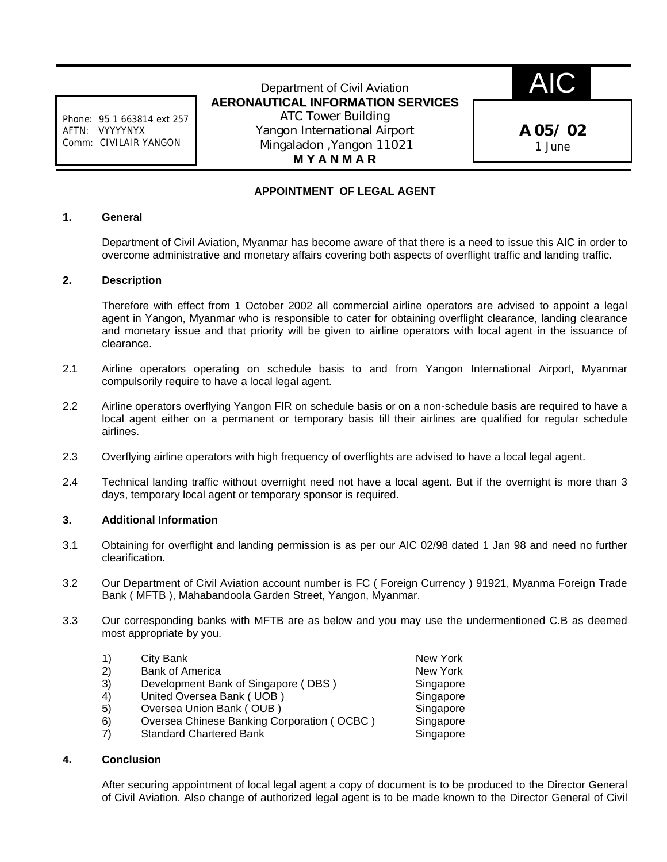Phone: 95 1 663814 ext 257 AFTN: VYYYYNYX Comm: CIVILAIR YANGON

Department of Civil Aviation **AERONAUTICAL INFORMATION SERVICES** ATC Tower Building Yangon International Airport Mingaladon ,Yangon 11021 **M Y A N M A R**

AIC

**A 05/ 02** 1 June

# **APPOINTMENT OF LEGAL AGENT**

### **1. General**

Department of Civil Aviation, Myanmar has become aware of that there is a need to issue this AIC in order to overcome administrative and monetary affairs covering both aspects of overflight traffic and landing traffic.

#### **2. Description**

Therefore with effect from 1 October 2002 all commercial airline operators are advised to appoint a legal agent in Yangon, Myanmar who is responsible to cater for obtaining overflight clearance, landing clearance and monetary issue and that priority will be given to airline operators with local agent in the issuance of clearance.

- 2.1 Airline operators operating on schedule basis to and from Yangon International Airport, Myanmar compulsorily require to have a local legal agent.
- 2.2 Airline operators overflying Yangon FIR on schedule basis or on a non-schedule basis are required to have a local agent either on a permanent or temporary basis till their airlines are qualified for regular schedule airlines.
- 2.3 Overflying airline operators with high frequency of overflights are advised to have a local legal agent.
- 2.4 Technical landing traffic without overnight need not have a local agent. But if the overnight is more than 3 days, temporary local agent or temporary sponsor is required.

## **3. Additional Information**

- 3.1 Obtaining for overflight and landing permission is as per our AIC 02/98 dated 1 Jan 98 and need no further clearification.
- 3.2 Our Department of Civil Aviation account number is FC ( Foreign Currency ) 91921, Myanma Foreign Trade Bank ( MFTB ), Mahabandoola Garden Street, Yangon, Myanmar.
- 3.3 Our corresponding banks with MFTB are as below and you may use the undermentioned C.B as deemed most appropriate by you.

| New York  |
|-----------|
| New York  |
| Singapore |
| Singapore |
| Singapore |
| Singapore |
| Singapore |
|           |

## **4. Conclusion**

After securing appointment of local legal agent a copy of document is to be produced to the Director General of Civil Aviation. Also change of authorized legal agent is to be made known to the Director General of Civil